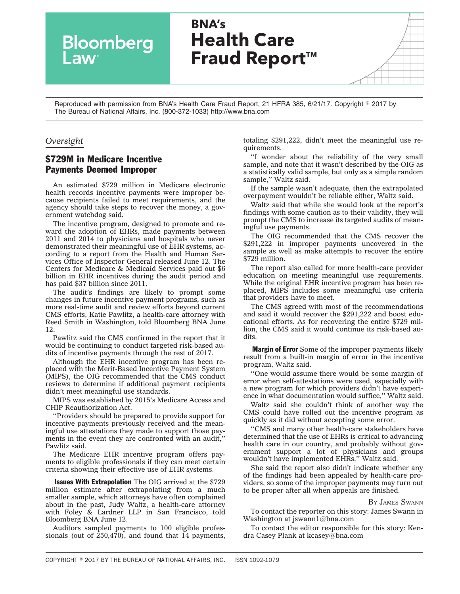**BNA's Health Care** Bloomberg **Fraud Report™** 

Reproduced with permission from BNA's Health Care Fraud Report, 21 HFRA 385, 6/21/17. Copyright © 2017 by The Bureau of National Affairs, Inc. (800-372-1033) http://www.bna.com

## *Oversight*

**Law** 

## \$729M in Medicare Incentive Payments Deemed Improper

An estimated \$729 million in Medicare electronic health records incentive payments were improper because recipients failed to meet requirements, and the agency should take steps to recover the money, a government watchdog said.

The incentive program, designed to promote and reward the adoption of EHRs, made payments between 2011 and 2014 to physicians and hospitals who never demonstrated their meaningful use of EHR systems, according to a [report](https://oig.hhs.gov/oas/reports/region5/51400047.pdf) from the Health and Human Services Office of Inspector General released June 12. The Centers for Medicare & Medicaid Services paid out \$6 billion in EHR incentives during the audit period and has paid \$37 billion since 2011.

The audit's findings are likely to prompt some changes in future incentive payment programs, such as more real-time audit and review efforts beyond current CMS efforts, Katie Pawlitz, a health-care attorney with Reed Smith in Washington, told Bloomberg BNA June 12.

Pawlitz said the CMS confirmed in the report that it would be continuing to conduct targeted risk-based audits of incentive payments through the rest of 2017.

Although the EHR incentive program has been replaced with the Merit-Based Incentive Payment System (MIPS), the OIG recommended that the CMS conduct reviews to determine if additional payment recipients didn't meet meaningful use standards.

MIPS was established by 2015's Medicare Access and CHIP Reauthorization Act.

''Providers should be prepared to provide support for incentive payments previously received and the meaningful use attestations they made to support those payments in the event they are confronted with an audit,'' Pawlitz said.

The Medicare EHR incentive program offers payments to eligible professionals if they can meet certain criteria showing their effective use of EHR systems.

**Issues With Extrapolation** The OIG arrived at the \$729 million estimate after extrapolating from a much smaller sample, which attorneys have often complained about in the past, Judy Waltz, a health-care attorney with Foley & Lardner LLP in San Francisco, told Bloomberg BNA June 12.

Auditors sampled payments to 100 eligible professionals (out of 250,470), and found that 14 payments, totaling \$291,222, didn't meet the meaningful use requirements.

''I wonder about the reliability of the very small sample, and note that it wasn't described by the OIG as a statistically valid sample, but only as a simple random sample,'' Waltz said.

If the sample wasn't adequate, then the extrapolated overpayment wouldn't be reliable either, Waltz said.

Waltz said that while she would look at the report's findings with some caution as to their validity, they will prompt the CMS to increase its targeted audits of meaningful use payments.

The OIG recommended that the CMS recover the \$291,222 in improper payments uncovered in the sample as well as make attempts to recover the entire \$729 million.

The report also called for more health-care provider education on meeting meaningful use requirements. While the original EHR incentive program has been replaced, MIPS includes some meaningful use criteria that providers have to meet.

The CMS agreed with most of the recommendations and said it would recover the \$291,222 and boost educational efforts. As for recovering the entire \$729 million, the CMS said it would continue its risk-based audits.

**Margin of Error** Some of the improper payments likely result from a built-in margin of error in the incentive program, Waltz said.

''One would assume there would be some margin of error when self-attestations were used, especially with a new program for which providers didn't have experience in what documentation would suffice,'' Waltz said.

Waltz said she couldn't think of another way the CMS could have rolled out the incentive program as quickly as it did without accepting some error.

''CMS and many other health-care stakeholders have determined that the use of EHRs is critical to advancing health care in our country, and probably without government support a lot of physicians and groups wouldn't have implemented EHRs,'' Waltz said.

She said the report also didn't indicate whether any of the findings had been appealed by health-care providers, so some of the improper payments may turn out to be proper after all when appeals are finished.

## BY JAMES [SWANN](mailto:jswann1@bna.com)

To contact the reporter on this story: James Swann in Washington at [jswann1@bna.com](mailto:jswann1@bna.com)

To contact the editor responsible for this story: Kendra Casey Plank at<kcasey@bna.com>